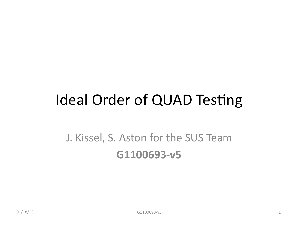# Ideal Order of QUAD Testing

# J. Kissel, S. Aston for the SUS Team **G1100693-v5**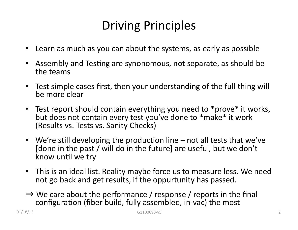# Driving Principles

- Learn as much as you can about the systems, as early as possible
- Assembly and Testing are synonomous, not separate, as should be the teams
- Test simple cases first, then your understanding of the full thing will be more clear
- Test report should contain everything you need to \*prove\* it works, but does not contain every test you've done to \*make\* it work (Results vs. Tests vs. Sanity Checks)
- We're still developing the production line not all tests that we've [done in the past / will do in the future] are useful, but we don't know until we try
- This is an ideal list. Reality maybe force us to measure less. We need not go back and get results, if the oppurtunity has passed.
- $\Rightarrow$  We care about the performance / response / reports in the final configuration (fiber build, fully assembled, in-vac) the most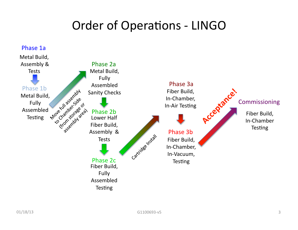# Order of Operations - LINGO

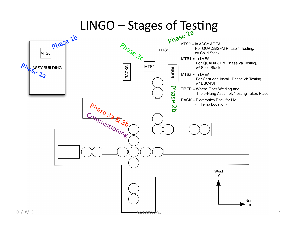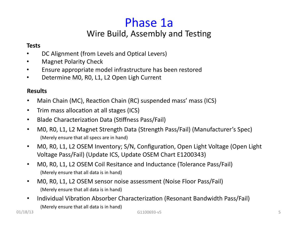## Phase 1a Wire Build, Assembly and Testing

### **Tests**

- DC Alignment (from Levels and Optical Levers)
- **Magnet Polarity Check**
- Ensure appropriate model infrastructure has been restored
- Determine M0, R0, L1, L2 Open Ligh Current

- Main Chain (MC), Reaction Chain (RC) suspended mass' mass (ICS)
- Trim mass allocation at all stages (ICS)
- Blade Characterization Data (Stiffness Pass/Fail)
- MO, RO, L1, L2 Magnet Strength Data (Strength Pass/Fail) (Manufacturer's Spec) (Merely ensure that all specs are in hand)
- MO, RO, L1, L2 OSEM Inventory; S/N, Configuration, Open Light Voltage (Open Light Voltage Pass/Fail) (Update ICS, Update OSEM Chart E1200343)
- MO, RO, L1, L2 OSEM Coil Resitance and Inductance (Tolerance Pass/Fail) (Merely ensure that all data is in hand)
- MO, RO, L1, L2 OSEM sensor noise assessment (Noise Floor Pass/Fail) (Merely ensure that all data is in hand)
- Individual Vibration Absorber Characterization (Resonant Bandwidth Pass/Fail) (Merely ensure that all data is in hand)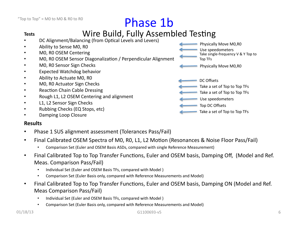# Phase 1b

# **Tests**<br>• DC Alignment/Balancing (from Optical Levels and Levers)

Physically Move M0,R0

Physically Move M0,R0

Use speedometers

Top TFs

DC Offsets 

Take single-frequency  $V$  &  $Y$  Top to

Take a set of Top to Top TFs

Take a set of Top to Top TFs

Take a set of Top to Top TFs

Top DC Offsets

Use speedometers

- Ability to Sense M0, R0
- M0, R0 OSEM Centering
- MO, RO OSEM Sensor Diagonalization / Perpendicular Alignment
- M0, R0 Sensor Sign Checks
- **Expected Watchdog behavior**
- Ability to Actuate M0, R0
- MO, RO Actuator Sign Checks
- **Reaction Chain Cable Dressing**
- Rough L1, L2 OSEM Centering and alignment
- L1, L2 Sensor Sign Checks
- Rubbing Checks (EQ Stops, etc)
- Damping Loop Closure

- Phase 1 SUS alignment assessment (Tolerances Pass/Fail)
- Final Calibrated OSEM Spectra of M0, R0, L1, L2 Motion (Resonances & Noise Floor Pass/Fail)
	- Comparison Set (Euler and OSEM Basis ASDs, compared with single Reference Measurement)
- Final Calibrated Top to Top Transfer Functions, Euler and OSEM basis, Damping Off, (Model and Ref. Meas. Comparison Pass/Fail)
	- Individual Set (Euler and OSEM Basis TFs, compared with Model)
	- Comparison Set (Euler Basis only, compared with Reference Measurements and Model)
- Final Calibrated Top to Top Transfer Functions, Euler and OSEM basis, Damping ON (Model and Ref. Meas Comparison Pass/Fail)
	- Individual Set (Euler and OSEM Basis TFs, compared with Model)
	- Comparison Set (Euler Basis only, compared with Reference Measurements and Model)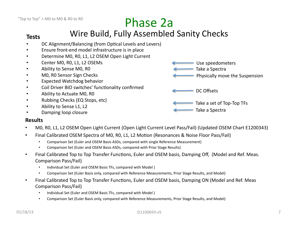## Tests **Wire Build, Fully Assembled Sanity Checks**

- DC Alignment/Balancing (from Optical Levels and Levers)
- Ensure front-end model infrastructure is in place
- Determine M0, R0, L1, L2 OSEM Open Light Current
- Center MO, RO, L1, L2 OSEMs
- Ability to Sense M0, R0
- M0, R0 Sensor Sign Checks
- Expected Watchdog behavior
- Coil Driver BIO switches' functionality confirmed
- Ability to Actuate M0, R0
- Rubbing Checks (EQ Stops, etc)
- Ability to Sense L1, L2
- Damping loop closure

Take a Spectra Physically move the Suspension

Use speedometers

DC Offsets 

Take a set of Top-Top TFs

Take a Spectra

- MO, RO, L1, L2 OSEM Open Light Current (Open Light Current Level Pass/Fail) (Updated OSEM Chart E1200343)
- Final Calibrated OSEM Spectra of M0, R0, L1, L2 Motion (Resonances & Noise Floor Pass/Fail)
	- Comparison Set (Euler and OSEM Basis ASDs, compared with single Reference Measurement)
	- Comparison Set (Euler and OSEM Basis ASDs, compared with Prior Stage Results)
- Final Calibrated Top to Top Transfer Functions, Euler and OSEM basis, Damping Off, (Model and Ref. Meas. Comparison Pass/Fail)
	- Individual Set (Euler and OSEM Basis TFs, compared with Model)
	- Comparison Set (Euler Basis only, compared with Reference Measurements, Prior Stage Results, and Model)
- Final Calibrated Top to Top Transfer Functions, Euler and OSEM basis, Damping ON (Model and Ref. Meas Comparison Pass/Fail)
	- Individual Set (Euler and OSEM Basis TFs, compared with Model)
	- Comparison Set (Euler Basis only, compared with Reference Measurements, Prior Stage Results, and Model)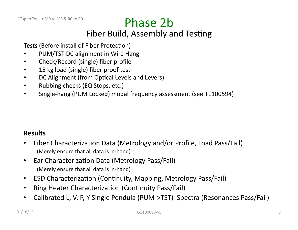# Phase 2b

## Fiber Build, Assembly and Testing

**Tests** (Before install of Fiber Protection)

- PUM/TST DC alignment in Wire Hang
- Check/Record (single) fiber profile
- 15 kg load (single) fiber proof test
- DC Alignment (from Optical Levels and Levers)
- Rubbing checks (EQ Stops, etc.)
- Single-hang (PUM Locked) modal frequency assessment (see T1100594)

- Fiber Characterization Data (Metrology and/or Profile, Load Pass/Fail) (Merely ensure that all data is in-hand)
- Ear Characterization Data (Metrology Pass/Fail) (Merely ensure that all data is in-hand)
- ESD Characterization (Continuity, Mapping, Metrology Pass/Fail)
- Ring Heater Characterization (Continuity Pass/Fail)
- Calibrated L, V, P, Y Single Pendula (PUM->TST) Spectra (Resonances Pass/Fail)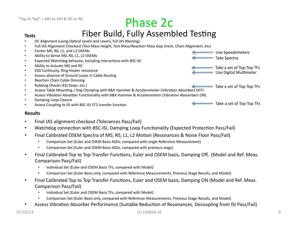## Phase 2c

## Tests **Fiber Build, Fully Assembled Testing**

- DC Alignment (using Optical Levels and Levers, full IAS Blessing)
- Full IAS Alignment Checkout (Test Mass Height, Test Mass/Reaction Mass Gap check, Chain Alignment, etc)
- Center M0, R0, L1, and L2 OSEMs
- Ability to Sense M0, R0, L1, L2 OSEMs
- Expected Watchdog behavior, including interactions with BSC-ISI
- Ability to Actuate M0 and R0
- ESD Continuity, Ring Heater resistance
- Assess absense of Ground Loops in Cable Routing
- Reaction Chain Cable Dressing
- Rubbing Checks (EQ Stops, etc.)
- Assess Table Mounting / Dog Clamping with B&K Hammer & Accelerometer (Vibration Absorbers OFF)
- Assess Vibration Absorber Functionality with B&K Hammer & Accelerometer (Vibration Abosorbers ON)
- Damping Loop Closure
- Assess Coupling to ISI with BSC-ISI ST2 transfer function

#### **Results**

- Final IAS alignment checkout (Tolerances Pass/Fail)
- Watchdog connection with BSC-ISI, Damping Loop Functionality (Expected Protection Pass/Fail)
- Final Calibrated OSEM Spectra of M0, R0, L1, L2 Motion (Resonances & Noise Floor Pass/Fail)
	- Comparison Set (Euler and OSEM Basis ASDs, compared with single Reference Measurement)
	- Comparison Set (Euler and OSEM Basis ASDs, compared with previous stage)
- Final Calibrated Top to Top Transfer Functions, Euler and OSEM basis, Damping Off, (Model and Ref. Meas. Comparison Pass/Fail)
	- Individual Set (Euler and OSEM Basis TFs, compared with Model)
	- Comparison Set (Euler Basis only, compared with Reference Measurements, Previous Stage Results, and Model)
- Final Calibrated Top to Top Transfer Functions, Euler and OSEM basis, Damping ON (Model and Ref. Meas. Comparison Pass/Fail)
	- Individual Set (Euler and OSEM Basis TFs, compared with Model)
	- Comparison Set (Euler Basis only, compared with Reference Measurements, Previous Stage Results, and Model)
- Assess Vibration Absorber Performance (Suitable Reduction of Resonances, Decoupling from ISI Pass/Fail)

Take a set of Top-Top TFs

Take a set of Top-Top TFs

Take a set of Top-Top TFs

Use Digital Multimeter

Take Spectra 

Use Speedometers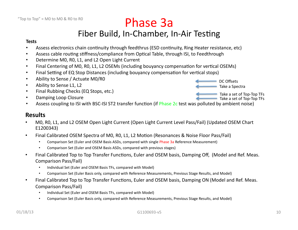Phase 3a

## Fiber Build, In-Chamber, In-Air Testing

#### **Tests**

- Assess electronics chain continuity through feedthrus (ESD continuity, Ring Heater resistance, etc)
- Assess cable routing stiffness/compliance from Optical Table, through ISI, to Feedthrough
- Determine M0, R0, L1, and L2 Open Light Current
- Final Centering of M0, R0, L1, L2 OSEMs (including bouyancy compensation for vertical OSEMs)
- Final Setting of EQ Stop Distances (including bouyancy compensation for vertical stops)
- Ability to Sense / Actuate M0/R0
- Ability to Sense L1, L2
- Final Rubbing Checks (EQ Stops, etc.)
- Damping Loop Closure

DC Offsets Take a set of Top-Top TFs Take a Spectra Take a set of Top-Top TFs

• Assess coupling to ISI with BSC-ISI ST2 transfer function (if Phase 2c test was polluted by ambient noise)

- MO, RO, L1, and L2 OSEM Open Light Current (Open Light Current Level Pass/Fail) (Updated OSEM Chart E1200343)
- Final Calibrated OSEM Spectra of M0, R0, L1, L2 Motion (Resonances & Noise Floor Pass/Fail)
	- Comparison Set (Euler and OSEM Basis ASDs, compared with single Phase 3a Reference Measurement)
	- Comparison Set (Euler and OSEM Basis ASDs, compared with previous stages)
- Final Calibrated Top to Top Transfer Functions, Euler and OSEM basis, Damping Off, (Model and Ref. Meas. Comparison Pass/Fail)
	- Individual Set (Euler and OSEM Basis TFs, compared with Model)
	- Comparison Set (Euler Basis only, compared with Reference Measurements, Previous Stage Results, and Model)
- Final Calibrated Top to Top Transfer Functions, Euler and OSEM basis, Damping ON (Model and Ref. Meas. Comparison Pass/Fail)
	- Individual Set (Euler and OSEM Basis TFs, compared with Model)
	- Comparison Set (Euler Basis only, compared with Reference Measurements, Previous Stage Results, and Model)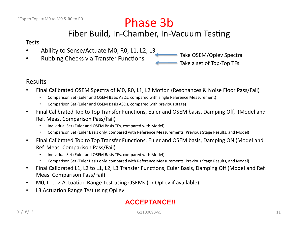# Phase 3b

## Fiber Build, In-Chamber, In-Vacuum Testing

### **Tests**

- Ability to Sense/Actuate M0, R0, L1, L2, L3
- Rubbing Checks via Transfer Functions

Take OSEM/Oplev Spectra Take a set of Top-Top TFs

## Results

- Final Calibrated OSEM Spectra of M0, R0, L1, L2 Motion (Resonances & Noise Floor Pass/Fail)
	- Comparison Set (Euler and OSEM Basis ASDs, compared with single Reference Measurement)
	- Comparison Set (Euler and OSEM Basis ASDs, compared with previous stage)
- Final Calibrated Top to Top Transfer Functions, Euler and OSEM basis, Damping Off, (Model and Ref. Meas. Comparison Pass/Fail)
	- Individual Set (Euler and OSEM Basis TFs, compared with Model)
	- Comparison Set (Euler Basis only, compared with Reference Measurements, Previous Stage Results, and Model)
- Final Calibrated Top to Top Transfer Functions, Euler and OSEM basis, Damping ON (Model and Ref. Meas. Comparison Pass/Fail)
	- Individual Set (Euler and OSEM Basis TFs, compared with Model)
	- Comparison Set (Euler Basis only, compared with Reference Measurements, Previous Stage Results, and Model)
- Final Calibrated L1, L2 to L1, L2, L3 Transfer Functions, Euler Basis, Damping Off (Model and Ref. Meas. Comparison Pass/Fail)
- MO, L1, L2 Actuation Range Test using OSEMs (or OpLev if available)
- L3 Actuation Range Test using OpLev

## **ACCEPTANCE!!**